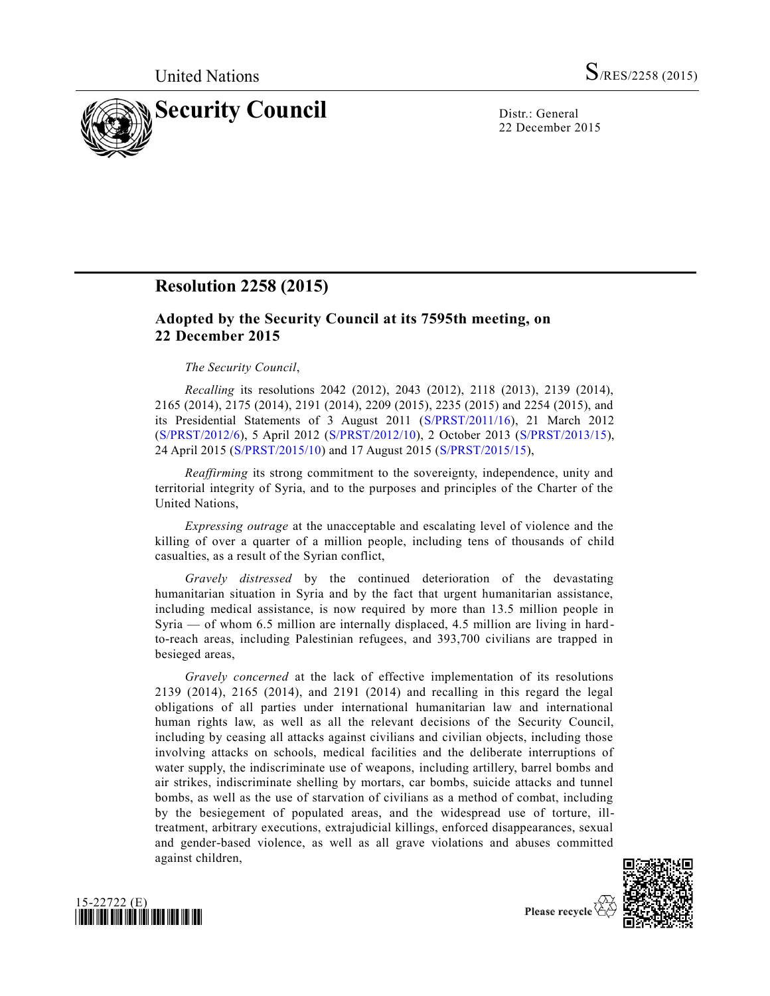

22 December 2015

## **Resolution 2258 (2015)**

## **Adopted by the Security Council at its 7595th meeting, on 22 December 2015**

## *The Security Council*,

*Recalling* its resolutions 2042 (2012), 2043 (2012), 2118 (2013), 2139 (2014), 2165 (2014), 2175 (2014), 2191 (2014), 2209 (2015), 2235 (2015) and 2254 (2015), and its Presidential Statements of 3 August 2011 [\(S/PRST/2011/16\)](http://undocs.org/S/PRST/2011/16), 21 March 2012 [\(S/PRST/2012/6\)](http://undocs.org/S/PRST/2012/6), 5 April 2012 [\(S/PRST/2012/10\)](http://undocs.org/S/PRST/2012/10), 2 October 2013 [\(S/PRST/2013/15\)](http://undocs.org/S/PRST/2013/15), 24 April 2015 [\(S/PRST/2015/10\)](http://undocs.org/S/PRST/2015/10) and 17 August 2015 [\(S/PRST/2015/15\)](http://undocs.org/S/PRST/2015/15),

*Reaffirming* its strong commitment to the sovereignty, independence, unity and territorial integrity of Syria, and to the purposes and principles of the Charter of the United Nations,

*Expressing outrage* at the unacceptable and escalating level of violence and the killing of over a quarter of a million people, including tens of thousands of child casualties, as a result of the Syrian conflict,

*Gravely distressed* by the continued deterioration of the devastating humanitarian situation in Syria and by the fact that urgent humanitarian assistance, including medical assistance, is now required by more than 13.5 million people in Syria — of whom 6.5 million are internally displaced, 4.5 million are living in hardto-reach areas, including Palestinian refugees, and 393,700 civilians are trapped in besieged areas,

*Gravely concerned* at the lack of effective implementation of its resolutions 2139 (2014), 2165 (2014), and 2191 (2014) and recalling in this regard the legal obligations of all parties under international humanitarian law and international human rights law, as well as all the relevant decisions of the Security Council, including by ceasing all attacks against civilians and civilian objects, including those involving attacks on schools, medical facilities and the deliberate interruptions of water supply, the indiscriminate use of weapons, including artillery, barrel bombs and air strikes, indiscriminate shelling by mortars, car bombs, suicide attacks and tunnel bombs, as well as the use of starvation of civilians as a method of combat, including by the besiegement of populated areas, and the widespread use of torture, illtreatment, arbitrary executions, extrajudicial killings, enforced disappearances, sexual and gender-based violence, as well as all grave violations and abuses committed against children,





Please recycle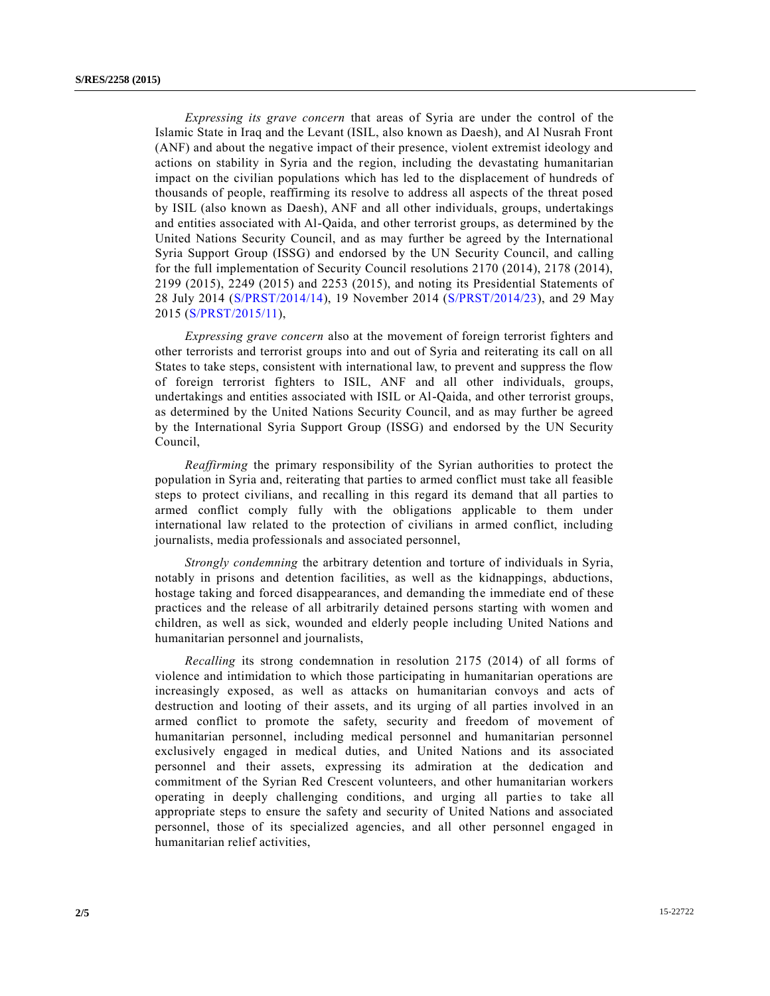*Expressing its grave concern* that areas of Syria are under the control of the Islamic State in Iraq and the Levant (ISIL, also known as Daesh), and Al Nusrah Front (ANF) and about the negative impact of their presence, violent extremist ideology and actions on stability in Syria and the region, including the devastating humanitarian impact on the civilian populations which has led to the displacement of hundreds of thousands of people, reaffirming its resolve to address all aspects of the threat posed by ISIL (also known as Daesh), ANF and all other individuals, groups, undertakings and entities associated with Al-Qaida, and other terrorist groups, as determined by the United Nations Security Council, and as may further be agreed by the International Syria Support Group (ISSG) and endorsed by the UN Security Council, and calling for the full implementation of Security Council resolutions 2170 (2014), 2178 (2014), 2199 (2015), 2249 (2015) and 2253 (2015), and noting its Presidential Statements of 28 July 2014 [\(S/PRST/2014/14\)](http://undocs.org/S/PRST/2014/14), 19 November 2014 [\(S/PRST/2014/23\)](http://undocs.org/S/PRST/2014/23), and 29 May 2015 [\(S/PRST/2015/11\)](http://undocs.org/S/PRST/2015/11),

*Expressing grave concern* also at the movement of foreign terrorist fighters and other terrorists and terrorist groups into and out of Syria and reiterating its call on all States to take steps, consistent with international law, to prevent and suppress the flow of foreign terrorist fighters to ISIL, ANF and all other individuals, groups, undertakings and entities associated with ISIL or Al-Qaida, and other terrorist groups, as determined by the United Nations Security Council, and as may further be agreed by the International Syria Support Group (ISSG) and endorsed by the UN Security Council,

*Reaffirming* the primary responsibility of the Syrian authorities to protect the population in Syria and, reiterating that parties to armed conflict must take all feasible steps to protect civilians, and recalling in this regard its demand that all parties to armed conflict comply fully with the obligations applicable to them under international law related to the protection of civilians in armed conflict, including journalists, media professionals and associated personnel,

*Strongly condemning* the arbitrary detention and torture of individuals in Syria, notably in prisons and detention facilities, as well as the kidnappings, abductions, hostage taking and forced disappearances, and demanding the immediate end of these practices and the release of all arbitrarily detained persons starting with women and children, as well as sick, wounded and elderly people including United Nations and humanitarian personnel and journalists,

*Recalling* its strong condemnation in resolution 2175 (2014) of all forms of violence and intimidation to which those participating in humanitarian operations are increasingly exposed, as well as attacks on humanitarian convoys and acts of destruction and looting of their assets, and its urging of all parties involved in an armed conflict to promote the safety, security and freedom of movement of humanitarian personnel, including medical personnel and humanitarian personnel exclusively engaged in medical duties, and United Nations and its associated personnel and their assets, expressing its admiration at the dedication and commitment of the Syrian Red Crescent volunteers, and other humanitarian workers operating in deeply challenging conditions, and urging all parties to take all appropriate steps to ensure the safety and security of United Nations and associated personnel, those of its specialized agencies, and all other personnel engaged in humanitarian relief activities,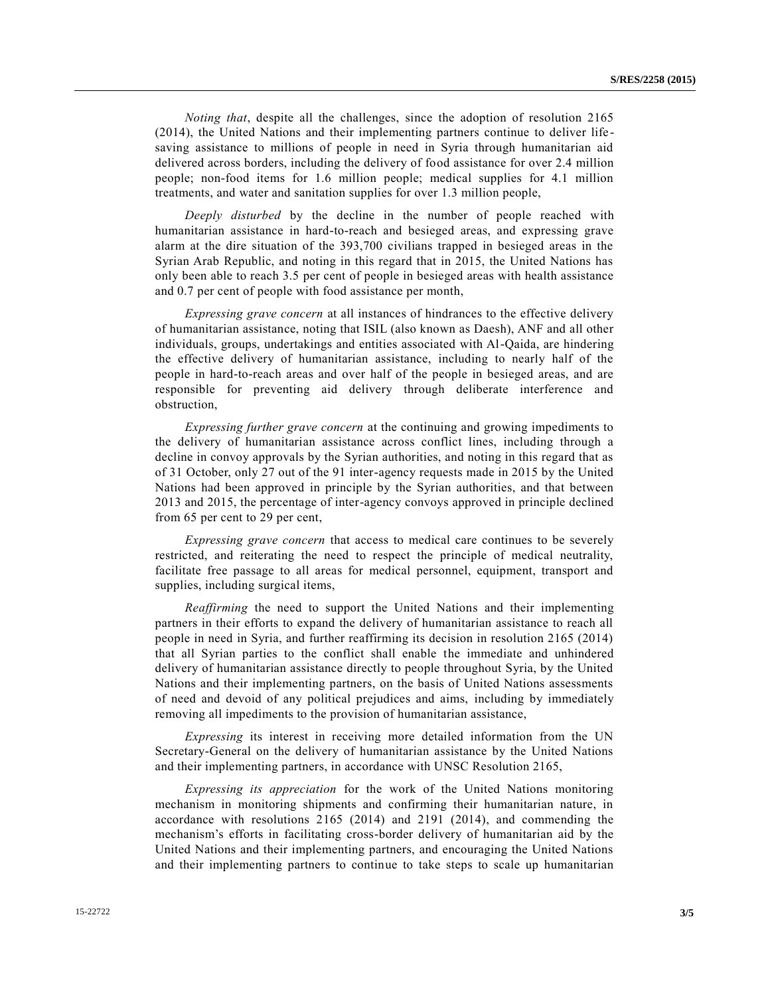*Noting that*, despite all the challenges, since the adoption of resolution 2165 (2014), the United Nations and their implementing partners continue to deliver life saving assistance to millions of people in need in Syria through humanitarian aid delivered across borders, including the delivery of food assistance for over 2.4 million people; non-food items for 1.6 million people; medical supplies for 4.1 million treatments, and water and sanitation supplies for over 1.3 million people,

*Deeply disturbed* by the decline in the number of people reached with humanitarian assistance in hard-to-reach and besieged areas, and expressing grave alarm at the dire situation of the 393,700 civilians trapped in besieged areas in the Syrian Arab Republic, and noting in this regard that in 2015, the United Nations has only been able to reach 3.5 per cent of people in besieged areas with health assistance and 0.7 per cent of people with food assistance per month,

*Expressing grave concern* at all instances of hindrances to the effective delivery of humanitarian assistance, noting that ISIL (also known as Daesh), ANF and all other individuals, groups, undertakings and entities associated with Al-Qaida, are hindering the effective delivery of humanitarian assistance, including to nearly half of the people in hard-to-reach areas and over half of the people in besieged areas, and are responsible for preventing aid delivery through deliberate interference and obstruction,

*Expressing further grave concern* at the continuing and growing impediments to the delivery of humanitarian assistance across conflict lines, including through a decline in convoy approvals by the Syrian authorities, and noting in this regard that as of 31 October, only 27 out of the 91 inter-agency requests made in 2015 by the United Nations had been approved in principle by the Syrian authorities, and that between 2013 and 2015, the percentage of inter-agency convoys approved in principle declined from 65 per cent to 29 per cent,

*Expressing grave concern* that access to medical care continues to be severely restricted, and reiterating the need to respect the principle of medical neutrality, facilitate free passage to all areas for medical personnel, equipment, transport and supplies, including surgical items,

*Reaffirming* the need to support the United Nations and their implementing partners in their efforts to expand the delivery of humanitarian assistance to reach all people in need in Syria, and further reaffirming its decision in resolution 2165 (2014) that all Syrian parties to the conflict shall enable the immediate and unhindered delivery of humanitarian assistance directly to people throughout Syria, by the United Nations and their implementing partners, on the basis of United Nations assessments of need and devoid of any political prejudices and aims, including by immediately removing all impediments to the provision of humanitarian assistance,

*Expressing* its interest in receiving more detailed information from the UN Secretary-General on the delivery of humanitarian assistance by the United Nations and their implementing partners, in accordance with UNSC Resolution 2165,

*Expressing its appreciation* for the work of the United Nations monitoring mechanism in monitoring shipments and confirming their humanitarian nature, in accordance with resolutions 2165 (2014) and 2191 (2014), and commending the mechanism's efforts in facilitating cross-border delivery of humanitarian aid by the United Nations and their implementing partners, and encouraging the United Nations and their implementing partners to continue to take steps to scale up humanitarian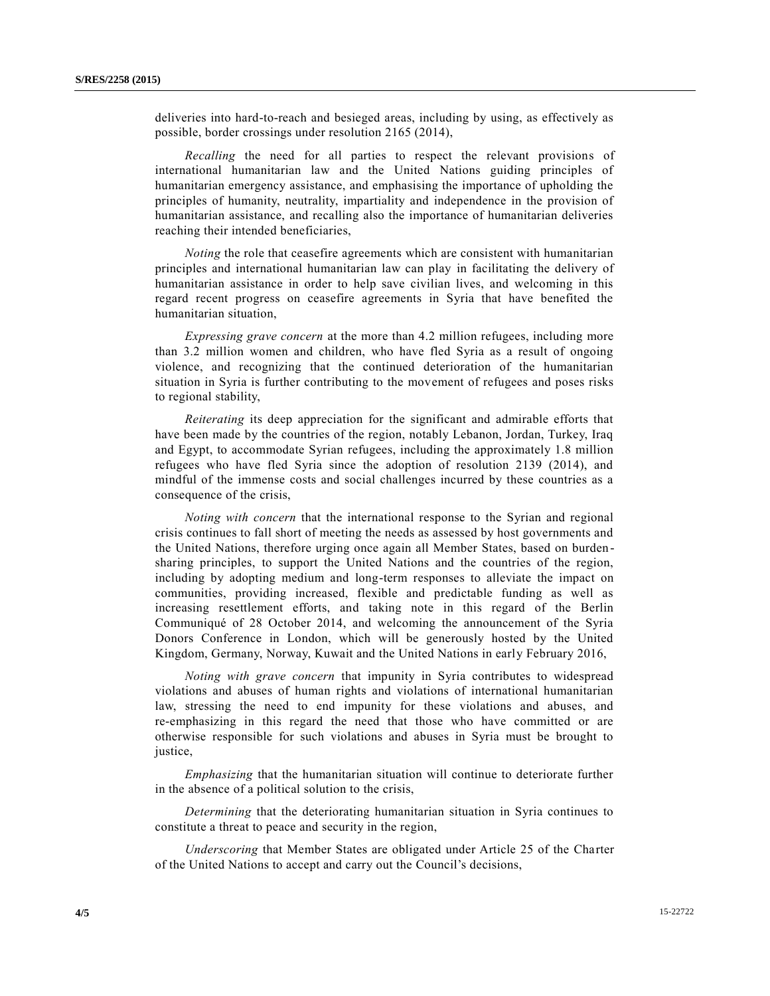deliveries into hard-to-reach and besieged areas, including by using, as effectively as possible, border crossings under resolution 2165 (2014),

*Recalling* the need for all parties to respect the relevant provisions of international humanitarian law and the United Nations guiding principles of humanitarian emergency assistance, and emphasising the importance of upholding the principles of humanity, neutrality, impartiality and independence in the provision of humanitarian assistance, and recalling also the importance of humanitarian deliveries reaching their intended beneficiaries,

*Noting* the role that ceasefire agreements which are consistent with humanitarian principles and international humanitarian law can play in facilitating the delivery of humanitarian assistance in order to help save civilian lives, and welcoming in this regard recent progress on ceasefire agreements in Syria that have benefited the humanitarian situation,

*Expressing grave concern* at the more than 4.2 million refugees, including more than 3.2 million women and children, who have fled Syria as a result of ongoing violence, and recognizing that the continued deterioration of the humanitarian situation in Syria is further contributing to the movement of refugees and poses risks to regional stability,

*Reiterating* its deep appreciation for the significant and admirable efforts that have been made by the countries of the region, notably Lebanon, Jordan, Turkey, Iraq and Egypt, to accommodate Syrian refugees, including the approximately 1.8 million refugees who have fled Syria since the adoption of resolution 2139 (2014), and mindful of the immense costs and social challenges incurred by these countries as a consequence of the crisis,

*Noting with concern* that the international response to the Syrian and regional crisis continues to fall short of meeting the needs as assessed by host governments and the United Nations, therefore urging once again all Member States, based on burden sharing principles, to support the United Nations and the countries of the region, including by adopting medium and long-term responses to alleviate the impact on communities, providing increased, flexible and predictable funding as well as increasing resettlement efforts, and taking note in this regard of the Berlin Communiqué of 28 October 2014, and welcoming the announcement of the Syria Donors Conference in London, which will be generously hosted by the United Kingdom, Germany, Norway, Kuwait and the United Nations in early February 2016,

*Noting with grave concern* that impunity in Syria contributes to widespread violations and abuses of human rights and violations of international humanitarian law, stressing the need to end impunity for these violations and abuses, and re-emphasizing in this regard the need that those who have committed or are otherwise responsible for such violations and abuses in Syria must be brought to justice,

*Emphasizing* that the humanitarian situation will continue to deteriorate further in the absence of a political solution to the crisis,

*Determining* that the deteriorating humanitarian situation in Syria continues to constitute a threat to peace and security in the region,

*Underscoring* that Member States are obligated under Article 25 of the Charter of the United Nations to accept and carry out the Council's decisions,